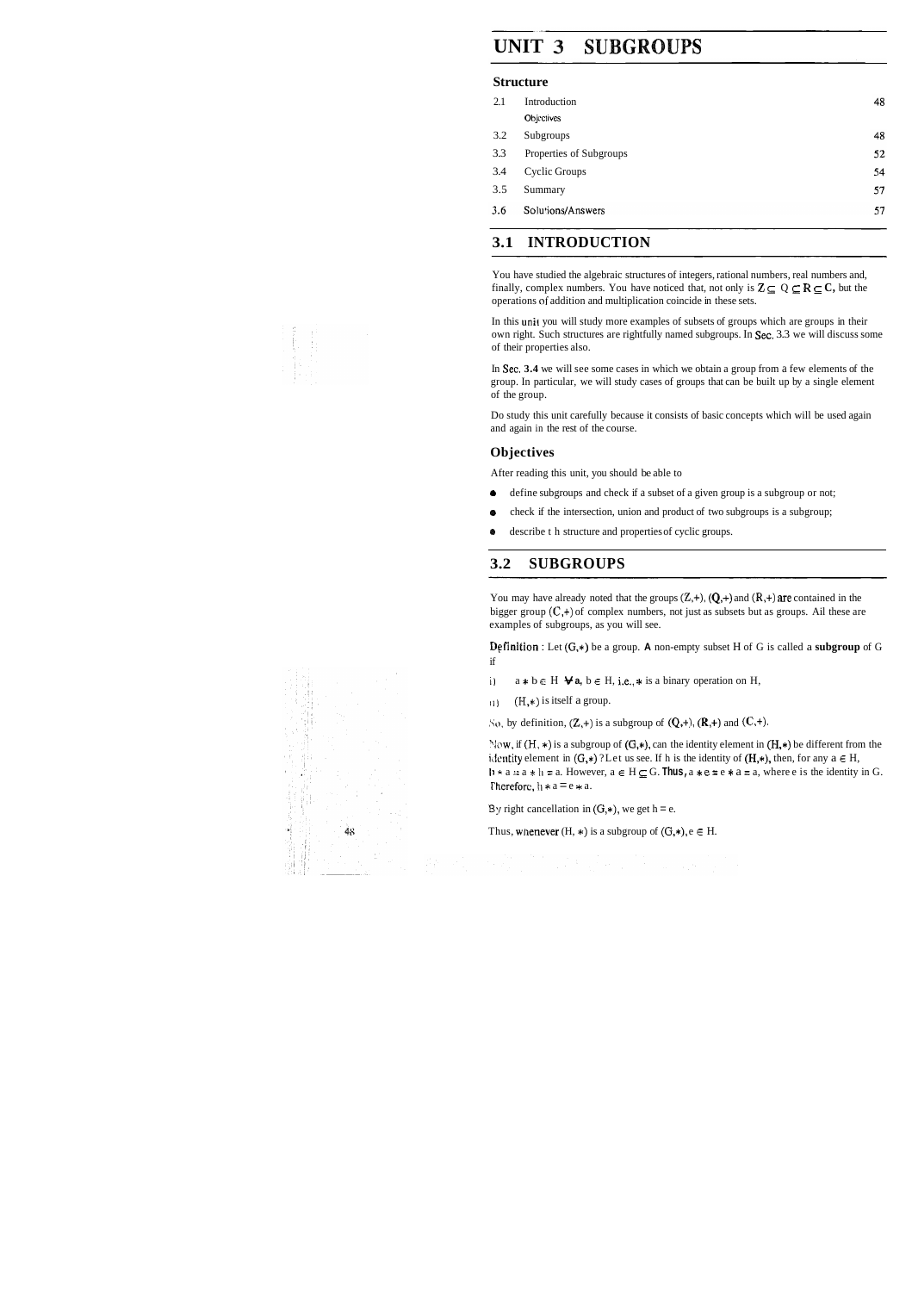# **UNIT 3 SUBGROUPS**

#### **Structure**

| Introduction            | 48 |
|-------------------------|----|
| Objectives              |    |
| Subgroups               | 48 |
| Properties of Subgroups | 52 |
| Cyclic Groups           | 54 |
| Summary                 | 57 |
| Solutions/Answers       | 57 |
|                         |    |

### **3.1 INTRODUCTION**

You have studied the algebraic structures of integers, rational numbers, real numbers and, finally, complex numbers. You have noticed that, not only is  $Z \subseteq Q \subseteq R \subseteq C$ , but the operations **of** addition and multiplication coincide in these sets.

In this unit you will study more examples of subsets of groups which are groups in their own right. Such structures are rightfully named subgroups. In Sec. 3.3 we will discuss some of their properties also.

In Sec. **3.4** we will see some cases in which we obtain a group from a few elements of the group. In particular, we will study cases of groups that can be built up by a single element of the group.

You may have already noted that the groups  $(Z,+)$ ,  $(Q,+)$  and  $(R,+)$  are contained in the bigger group  $(C,+)$  of complex numbers, not just as subsets but as groups. Ail these are examples of subgroups, as you will see.

Do study this unit carefully because it consists of basic concepts which will be used again and again in the rest of the course.

#### **Objectives**

After reading this unit, you should be able to

- **e** define subgroups and check if a subset of a given group is a subgroup or not;
- **e** check if the intersection, union and product of two subgroups is a subgroup;
- **e** describe th structure and properties of cyclic groups.

### **3.2 SUBGROUPS**

**Dffinition** : Let (G,\*) be a group. **A** non-empty subset H of G is called a **subgroup** of G if

- i)  $a * b \in H \blacktriangleright a, b \in H$ , i.e.,  $*$  is a binary operation on H,
- $(1)$  (H,\*) is itself a group.

 $\text{So, by definition, } (\mathbb{Z},+) \text{ is a subgroup of } (\mathbb{Q},+) \text{, } (\mathbb{R},+) \text{ and } (\mathbb{C},+) \text{.}$ 

Now, if  $(H, *)$  is a subgroup of  $(G, *)$ , can the identity element in  $(H, *)$  be different from the identity element in  $(G,*)$  ? Let us see. If h is the identity of  $(H,*)$ , then, for any  $a \in H$ ,  $\mathbf{h} \cdot \mathbf{a} = \mathbf{a} \cdot \mathbf{b} = \mathbf{a}$ . However,  $\mathbf{a} \in \mathbf{H} \subseteq \mathbf{G}$ . **Thus,**  $\mathbf{a} \cdot \mathbf{e} = \mathbf{e} \cdot \mathbf{a} = \mathbf{a}$ , where e is the identity in G. Therefore,  $h * a = e * a$ .

 $3y$  right cancellation in  $(G,*)$ , we get h = e.

Thus, whenever  $(H, *)$  is a subgroup of  $(G, *)$ ,  $e \in H$ .

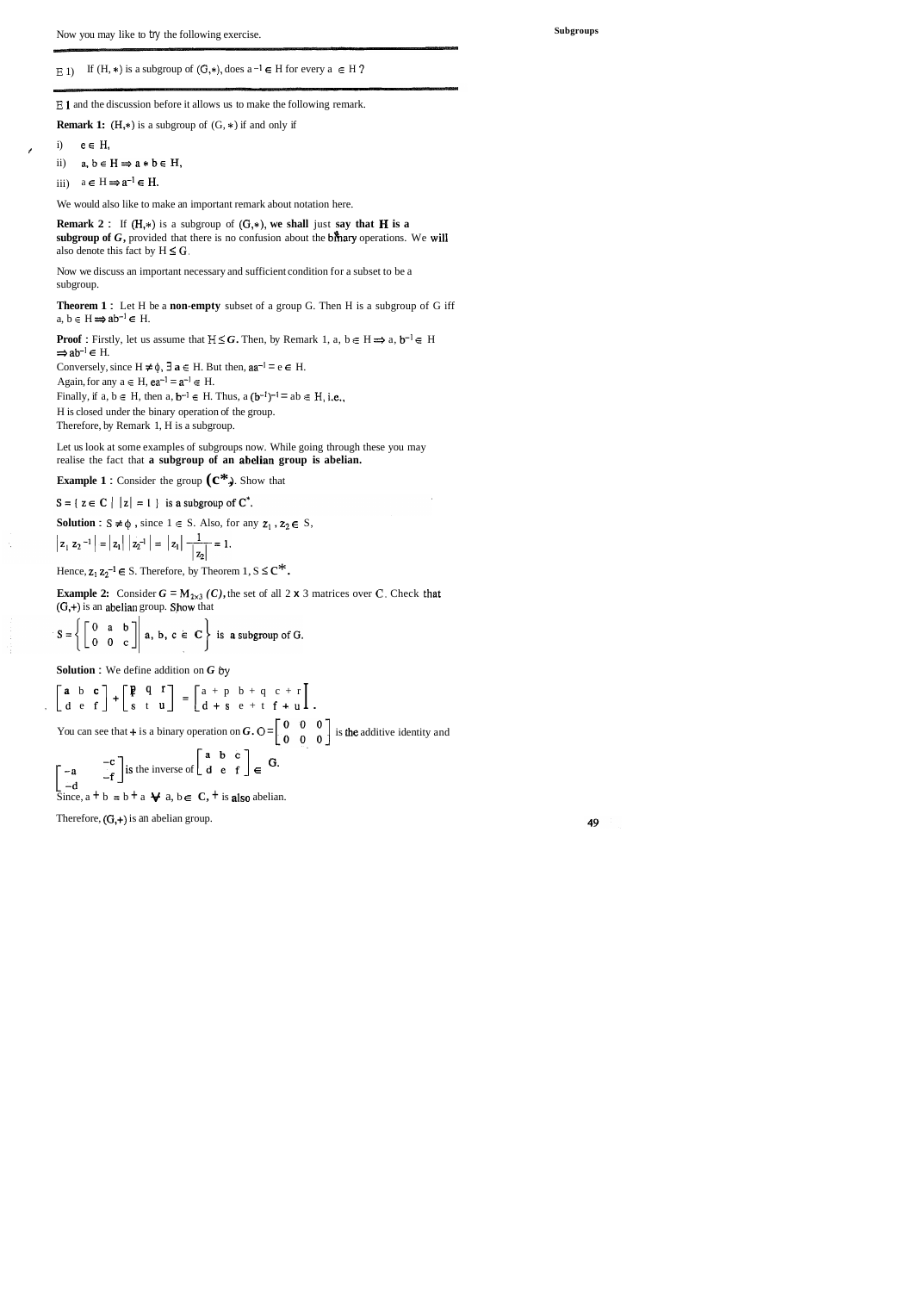**E** 1 and the discussion before it allows us to make the following remark.

**Remark 1:**  $(H,*)$  is a subgroup of  $(G,*)$  if and only if

- i)  $e \in H$ ,
- ii)  $a, b \in H \Rightarrow a * b \in H$ ,
- iii)  $a \in H \implies a^{-1} \in H$ .

We would also like to make an important remark about notation here.

**Remark 2**: If  $(H,*)$  is a subgroup of  $(G,*)$ , we shall just say that **H** is a subgroup of  $G$ , provided that there is no confusion about the bihary operations. We will also denote this fact by  $H \leq G$ .

Let us look at some examples of subgroups now. While going through these you may realise the fact that **a subgroup of an abelian group is abelian.** 

### **Example 1 :** Consider the group  $(\mathbb{C}^*)$ . Show that

 $S = \{ z \in C \mid |z| = 1 \}$  is a subgroup of  $C^*$ .

**Solution**:  $S \neq \emptyset$ , since  $1 \in S$ . Also, for any  $z_1$ ,  $z_2 \in S$ ,

$$
|z_1 z_2^{-1}| = |z_1| |z_2^{-1}| = |z_1| \frac{1}{|z_2|} = 1.
$$

Hence,  $z_1 z_2^{-1} \in S$ . Therefore, by Theorem 1,  $S \leq C^*$ .

**Example 2:** Consider  $G = M_{2\times3}$  *(C)*, the set of all 2 **x** 3 matrices over *C*. Check that  $(G,+)$  is an abelian group. Show that

$$
S = \left\{ \begin{bmatrix} 0 & a & b \\ 0 & 0 & c \end{bmatrix} \middle| a, b, c \in \mathbf{C} \right\} \text{ is a subgroup of } G.
$$

Now we discuss an important necessary and sufficient condition for a subset to be a subgroup.

**Theorem 1 :** Let H be a **non-empty** subset of a group G. Then H is a subgroup of G iff a,  $b \in H \Rightarrow ab^{-1} \in H$ .

**Proof :** Firstly, let us assume that  $H \leq G$ . Then, by Remark 1, a,  $b \in H \Rightarrow a, b^{-1} \in H$  $\Rightarrow$  ab<sup>-1</sup>  $\in$  H.

Conversely, since  $H \neq \emptyset$ ,  $\exists a \in H$ . But then,  $aa^{-1} = e \in H$ .

Again, for any  $a \in H$ ,  $ea^{-1} = a^{-1} \in H$ .

Finally, if  $a, b \in H$ , then  $a, b^{-1} \in H$ . Thus,  $a (b^{-1})^{-1} = ab \in H$ , i.e.,

H is closed under the binary operation of the group.

Therefore, by Remark 1, H is a subgroup.

**Subgroups** 

### **E** 1) If  $(H, *)$  is a subgroup of  $(G, *)$ , does  $a^{-1} \in H$  for every  $a \in H$  ?

**Solution** : We define addition on *G* **By** 

$$
\begin{bmatrix}\n\mathbf{a} & \mathbf{b} & \mathbf{c} \\
\mathbf{d} & \mathbf{e} & \mathbf{f}\n\end{bmatrix} + \begin{bmatrix}\n\mathbf{p} & \mathbf{q} & \mathbf{r} \\
\mathbf{s} & \mathbf{t} & \mathbf{u}\n\end{bmatrix} = \begin{bmatrix}\na + p & b + q & c + r \\
d + s & e + t & f + u\n\end{bmatrix}.
$$
  
You can see that + is a binary operation on  $\mathbf{G}$ ,  $O = \begin{bmatrix} 0 & 0 & 0 \\
0 & 0 & 0 \\
0 & 0 & 0 \end{bmatrix}$  is the additive identity and

$$
\begin{bmatrix} -a & -c \\ -d & -f \end{bmatrix}
$$
 is the inverse of  $\begin{bmatrix} a & b & c \\ d & e & f \end{bmatrix} \in G$ .  
Since,  $a + b = b + a \forall a, b \in C$ ,  $+$  is also abelian.

Therefore,  $(G,+)$  is an abelian group.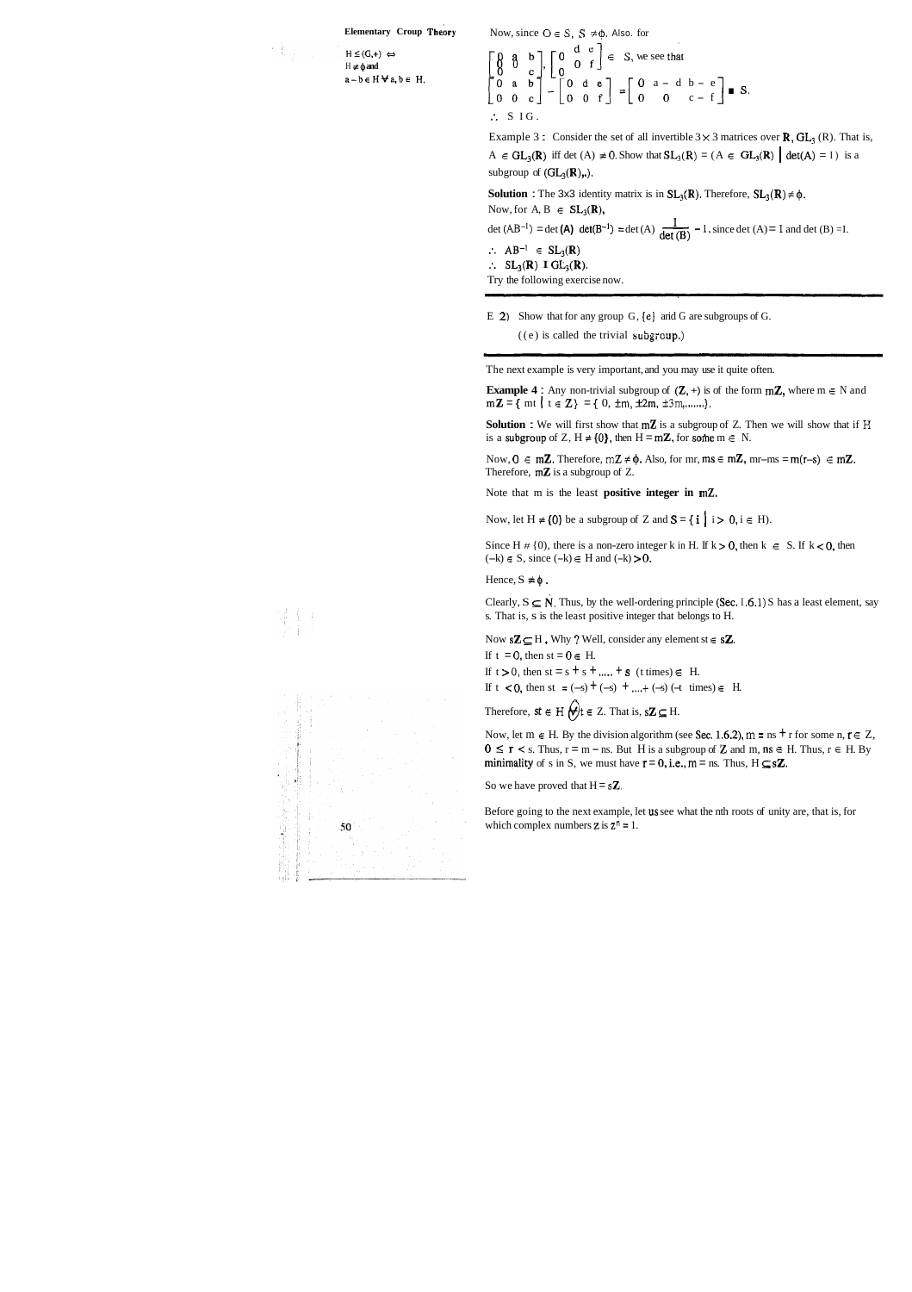#### **Elementary Croup Theory**

 $H \leq (G,+) \Leftrightarrow$  $H \neq \phi$  and  $a - b \in H \forall a, b \in H$ . Now, since  $O \in S$ ,  $S \neq \emptyset$ . Also. for

$$
\begin{bmatrix} 0 & a & b \\ 0 & 0 & c \\ 0 & a & b \\ 0 & 0 & c \end{bmatrix} - \begin{bmatrix} 0 & d & e \\ 0 & 0 & f \\ 0 & 0 & f \end{bmatrix} = \begin{bmatrix} 0 & a - d & b - e \\ 0 & 0 & c - f \end{bmatrix}
$$
 s.  
\n
$$
\therefore SIG.
$$

Example 3 : Consider the set of all invertible  $3 \times 3$  matrices over **R**, GL<sub>3</sub> (R). That is, A **E** GL<sub>3</sub>(R) iff det (A)  $\neq$  0. Show that  $SL_3(R) = (A \in GL_3(R) | det(A) = I)$  is a subgroup of  $(GL_3(\mathbb{R}),...)$ .

**Solution :** The 3x3 identity matrix is in  $SL_3(\mathbb{R})$ . Therefore,  $SL_3(\mathbb{R}) \neq \emptyset$ . Now, for  $A, B \in SL_3(\mathbb{R}),$  $A \in GL_3(\mathbb{R})$  iff det  $(A) \neq 0$ . Show that  $SL_3(R) = (A \in GL_3(\mathbb{R}) \mid det(A) = I)$  is<br>subgroup of  $(GL_3(\mathbb{R})$ ...).<br>**Solution** : The 3x3 identity matrix is in  $SL_3(\mathbb{R})$ . Therefore,  $SL_3(\mathbb{R}) \neq \emptyset$ .<br>Now, for  $A, B \in SL_3(\mathbb{R})$ ,<br> $det$ det (B)

 $\therefore$  AB<sup>-1</sup>  $\in$  SL<sub>3</sub>(R)  $\therefore$  SL<sub>3</sub>(R) I GL<sub>3</sub>(R).

**Solution** : We will first show that mZ is a subgroup of Z. Then we will show that if **<sup>H</sup>** is a subgroup of Z,  $H \neq \{0\}$ , then  $H = m\mathbb{Z}$ , for some  $m \in N$ .

Now,  $0 \in m\mathbb{Z}$ . Therefore,  $m\mathbb{Z} \neq \emptyset$ . Also, for mr,  $ms \in m\mathbb{Z}$ , mr-ms = m(r-s)  $\in m\mathbb{Z}$ . Therefore,  $m\mathbf{Z}$  is a subgroup of Z.

Try the following exercise now.

E 2) Show that for any group G,  $\{e\}$  arid G are subgroups of G.

 $((e)$  is called the trivial  $\text{subgroup}$ .)

The next example is very important, and you may use it quite often.

**Example 4 :** Any non-trivial subgroup of  $(Z, +)$  is of the form  $mZ$ , where  $m \in N$  and  $m\mathbb{Z} = \{ m t \mid t \in \mathbb{Z} \} = \{ 0, \pm m, \pm 2m, \pm 3m, \ldots \}.$ 

Clearly,  $S \subseteq N$ . Thus, by the well-ordering principle (Sec. 1.6.1) S has a least element, say s. That is, s is the least positive integer that belongs to H.

Now  $s\mathbb{Z} \subseteq H$ . Why ? Well, consider any element st  $\in s\mathbb{Z}$ .

If  $t = 0$ , then  $st = 0 \in H$ .

If  $t > 0$ , then  $st = s + s + \dots + s$  (*t* times)  $\in$  H.

If  $t < 0$ , then st = (-s) + (-s) + ....+ (-s) (-t times)  $\in$  H.

Therefore,  $st \in H$   $\bigoplus t \in Z$ . That is,  $s\mathbb{Z} \subseteq H$ .

Now, let  $m \in H$ . By the division algorithm (see Sec. 1.6.2),  $m = ns + r$  for some  $n, r \in Z$ ,  $0 \le r \le s$ . Thus,  $r = m - ns$ . But H is a subgroup of **Z** and m, ns  $\in$  H. Thus,  $r \in$  H. By **minimality** of s in S, we must have  $r = 0$ , i.e.,  $m =$  ns. Thus,  $H \subseteq s\mathbb{Z}$ .

So we have proved that  $H = sZ$ ,

Before going to the next example, let us see what the nth roots of unity are, that is, for which complex numbers  $z$  is  $z^n = 1$ .



Note that m is the least **positive integer in mZ.** 

Now, let  $H \neq \{0\}$  be a subgroup of Z and  $S = \{ i \mid i > 0, i \in H \}$ .

Since H  $\#$  {0}, there is a non-zero integer k in H. If k > 0, then k  $\in$  S. If k < 0, then  $(-k) \in S$ , since  $(-k) \in H$  and  $(-k) > 0$ .

Hence,  $S \neq \phi$ .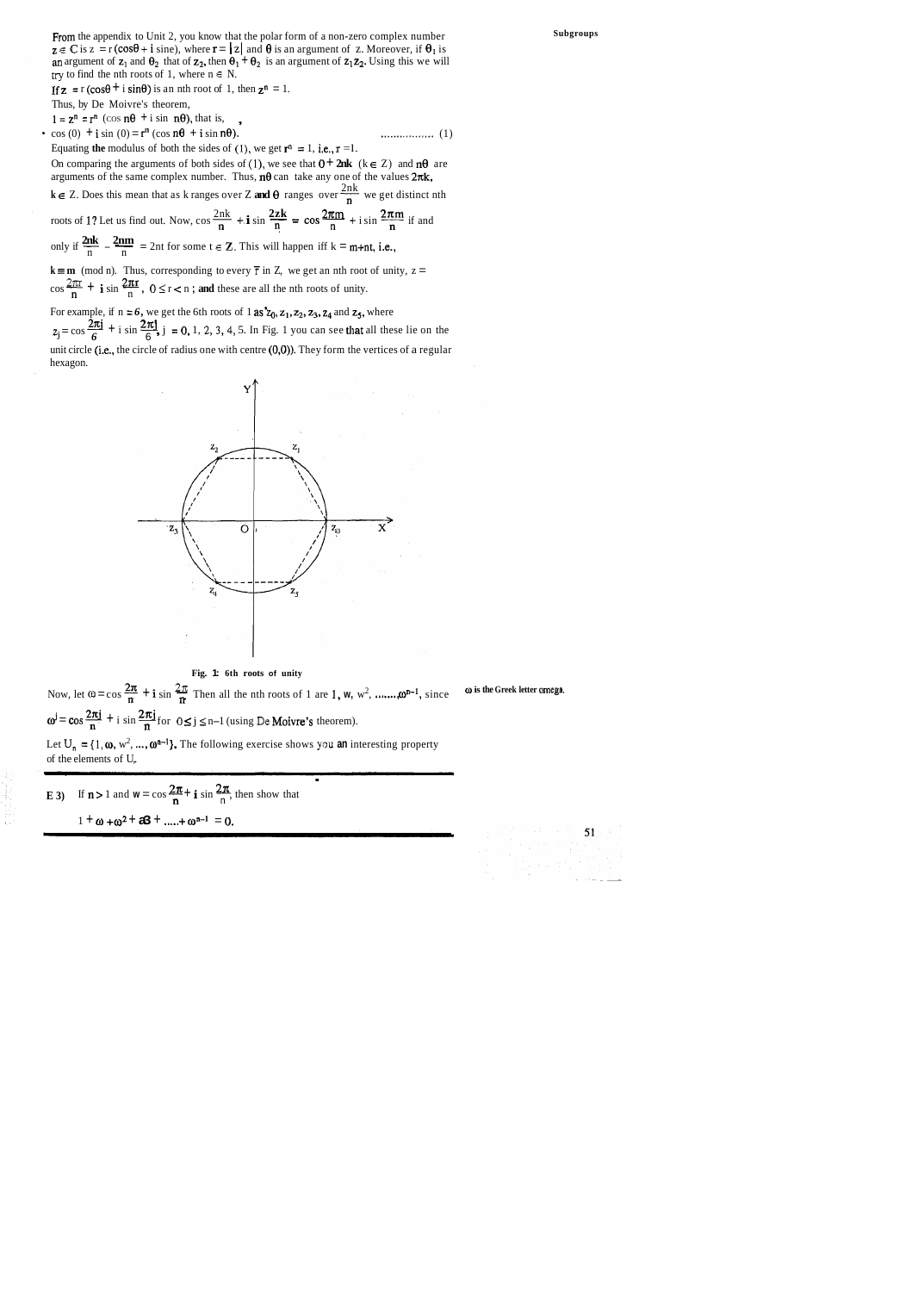From the appendix to Unit 2, you know that the polar form of a non-zero complex number  $z \in \mathbb{C}$  is  $z = r(\cos\theta + i \sin\theta)$ , where  $r = |z|$  and  $\theta$  is an argument of z. Moreover, if  $\theta_1$  is **an** argument of  $z_1$  and  $\theta_2$  that of  $z_2$ , then  $\theta_1 + \theta_2$  is an argument of  $z_1 z_2$ . Using this we will try to find the nth roots of 1, where  $n \in N$ .

If  $z = r(\cos\theta + i \sin\theta)$  is an nth root of 1, then  $z^n = 1$ .

Thus, by De Moivre's theorem,

<sup>1</sup>= zn = rn (COS ne + i sin ne), that is, , \* cos (0) + i sin (0) = rn (cos ne + i sin no). ................. (1)

Equating **the** modulus of both the sides of (1), we get  $\mathbf{r}^n = 1$ , i.e.,  $\mathbf{r} = 1$ .

On comparing the arguments of both sides of (1), we see that  $0 + 2nk$  ( $k \in \mathbb{Z}$ ) and  $n\theta$  are arguments of the same complex number. Thus,  $n\theta$  can take any one of the values  $2\pi k$ ,

 $k \in \mathbb{Z}$ . Does this mean that as k ranges over Z and  $\theta$  ranges over  $\frac{2nk}{n}$  we get distinct nth

arguments of the same complex number. Thus,  $n\theta$  can take any one of the values  $2\pi k$ ,<br>  $k \in Z$ . Does this mean that as k ranges over Z and  $\theta$  ranges over  $\frac{2nk}{n}$  we get distinct n<br>
roots of 1? Let us find out. Now, **2nk 2nm** only if - - - = 2nt for some t **E Z.** This will happen iff k = m+nt, i.e., n n

 $k \equiv m \pmod{n}$ . Thus, corresponding to every  $\bar{r}$  in Z, we get an nth root of unity,  $z =$  $\frac{2\pi r}{r}$  +  $\frac{2\pi r}{r}$ only if  $\frac{ }{n} - \frac{ }{n} = 2$ nt for some  $t \in \mathbb{Z}$ . This will happen iff  $k = m + n$ <br>  $k = m \pmod{n}$ . Thus, corresponding to every  $\bar{r}$  in Z, we get an nth root<br>  $\cos \frac{2\pi x}{n} + i \sin \frac{2\pi r}{n}$ ,  $0 \le r < n$ ; and these are all the n

For example, if  $n = 6$ , we get the 6th roots of 1 as  $z_0$ ,  $z_1$ ,  $z_2$ ,  $z_3$ ,  $z_4$  and  $z_5$ , where

 $z_j = \cos \frac{2\pi j}{6} + i \sin \frac{2\pi j}{6}$ ,  $j = 0, 1, 2, 3, 4, 5$ . In Fig. 1 you can see that all these lie on the unit circle (i.e., the circle of radius one with centre (0,0)). They form the vertices of a regular hexagon.



**Fig. 1: 6th roots of unity** 

**2n 2n 2n 2n 2n 2n 2n 2n 2n a 1n a 1n a 1n a 1n a 1n a 1n a 1n a 1n a 1n a 1n a 1n a 1n a 1n a 1 a 1**  $\omega^j = \cos \frac{2\pi j}{n} + i \sin \frac{2\pi j}{n}$  for  $0 \le j \le n-1$  (using  $De$  **Moivre's** theorem). Let  $U_n = \{1, \omega, w^2, ..., \omega^{n-1}\}$ . The following exercise shows you an interesting property of the elements of U,

**E** 3) If  $n > 1$  and  $w = \cos \frac{2\pi}{n} + i \sin \frac{2\pi}{n}$ , then show that  $1 + \omega + \omega^2 + a3 + \dots + \omega^{n-1} = 0$ .

**Subgroups** 

**o is the Greek letter omcga.**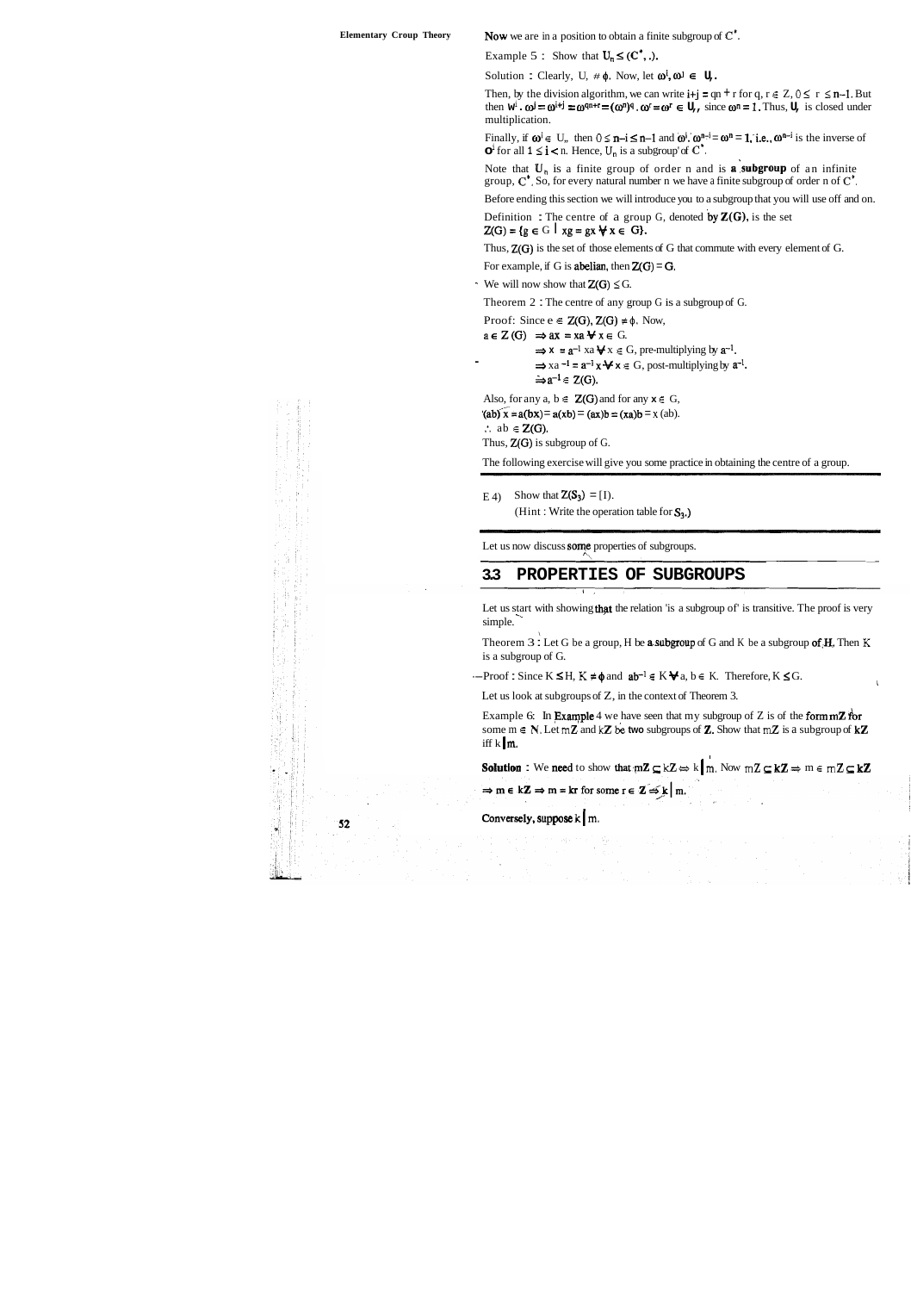| <b>Elementary Croup Theory</b> | <b>Now</b> we are in a position to obtain a finite subgroup of $C^{\prime}$ .                                                                                                                                                                                                                                                                                                          |
|--------------------------------|----------------------------------------------------------------------------------------------------------------------------------------------------------------------------------------------------------------------------------------------------------------------------------------------------------------------------------------------------------------------------------------|
|                                | Example 5 : Show that $U_n \le (C^*)$ .                                                                                                                                                                                                                                                                                                                                                |
|                                | Solution : Clearly, U, $\#\phi$ . Now, let $\omega^i$ , $\omega^j \in U$ ,                                                                                                                                                                                                                                                                                                             |
|                                | Then, by the division algorithm, we can write $i+j = qn + r$ for $q, r \in Z$ , $0 \le r \le n-1$ . But<br>then $\mathbf{w}^i \cdot \mathbf{\omega}^j = \mathbf{\omega}^{i+j} = \mathbf{\omega}^{qn+r} = (\mathbf{\omega}^n)^q \cdot \mathbf{\omega}^r = \mathbf{\omega}^r \in \mathbf{U}_r$ , since $\mathbf{\omega}^n = 1$ . Thus, $\mathbf{U}_r$ is closed under<br>multiplication. |
|                                | Finally, if $\omega^i \in U$ , then $0 \le n-i \le n-1$ and $\omega^i$ . $\omega^{n-i} = \omega^n = 1$ , i.e., $\omega^{n-i}$ is the inverse of<br>$\mathbf{O}^{\mathrm{i}}$ for all $1 \leq \mathbf{i} < \mathbf{n}$ . Hence, $U_{\mathbf{n}}$ is a subgroup' of $\mathbf{C}^*$ .                                                                                                     |
|                                | Note that $U_n$ is a finite group of order n and is <b>a</b> subgroup of an infinite<br>group, $C^*$ . So, for every natural number n we have a finite subgroup of order n of $C^*$ .                                                                                                                                                                                                  |
|                                | Before ending this section we will introduce you to a subgroup that you will use off and on.                                                                                                                                                                                                                                                                                           |
|                                | Definition: The centre of a group G, denoted by $\mathbb{Z}(G)$ , is the set<br>$Z(G) = \{g \in G \mid xg = gx \forall x \in G\}.$                                                                                                                                                                                                                                                     |
|                                | Thus, $Z(G)$ is the set of those elements of G that commute with every element of G.                                                                                                                                                                                                                                                                                                   |
|                                | For example, if G is <b>abelian</b> , then $Z(G) = G$ .                                                                                                                                                                                                                                                                                                                                |
|                                | We will now show that $Z(G) \leq G$ .                                                                                                                                                                                                                                                                                                                                                  |
|                                | Theorem $2:$ The centre of any group G is a subgroup of G.                                                                                                                                                                                                                                                                                                                             |
|                                | Proof: Since $e \in Z(G)$ , $Z(G) \neq \emptyset$ . Now,<br>$a \in Z(G) \implies ax = xa \forall x \in G.$<br>$\Rightarrow$ x = a <sup>-1</sup> xa $\forall$ x $\in$ G, pre-multiplying by a <sup>-1</sup> .<br>$\Rightarrow$ xa <sup>-1</sup> = $a^{-1}$ x $\forall x \in G$ , post-multiplying by $a^{-1}$ .<br>$\Rightarrow$ a <sup>-1</sup> $\in$ Z(G).                            |
|                                | Also, for any $a, b \in Z(G)$ and for any $x \in G$ ,<br>$(a\bar{b}) x = a(bx) = a(x\bar{b}) = (ax)b = (xa)b = x (ab).$<br>$\therefore$ ab $\in Z(G)$ .<br>Thus, $Z(G)$ is subgroup of G.                                                                                                                                                                                              |
|                                | The following exercise will give you some practice in obtaining the centre of a group.                                                                                                                                                                                                                                                                                                 |
|                                | Show that $Z(S_3) = [1]$ .<br>E(4)<br>(Hint: Write the operation table for $S_3$ .)                                                                                                                                                                                                                                                                                                    |

Let us now discuss some properties of subgroups.

Theorem  $3$  : Let G be a group, H be **a subgroup** of G and K be a subgroup of  $A$ . Then  $K$ is a subgroup of G.

 $-$ Proof : Since  $K \le H$ ,  $K \ne \phi$  and  $ab^{-1} \in K \blacktriangleright a$ ,  $b \in K$ . Therefore,  $K \le G$ .

### **3.3 PROPERTIES OF SUBGROUPS**

Let us start with showing **that** the relation 'is a subgroup of' is transitive. The proof is very simple.

Let us look at subgroups of Z, in the context of Theorem 3.

Example 6: In **Example** 4 we have seen that my subgroup of Z is of the **form mZ** for some  $m \in \mathbb{N}$ . Let  $mZ$  and  $kZ$  be two subgroups of **Z.** Show that  $mZ$  is a subgroup of  $kZ$ iff k  $\mathbf{m}$ .

**Solution**: We need to show that  $m\mathbb{Z} \subseteq k\mathbb{Z} \Leftrightarrow k \mid m$ . Now  $m\mathbb{Z} \subseteq k\mathbb{Z} \Rightarrow m \in m\mathbb{Z} \subseteq k\mathbb{Z}$ 

 $\Rightarrow$  m  $\in$  kZ  $\Rightarrow$  m = kr for some r  $\in$  Z  $\leq$  k | m.

Conversely, suppose  $k \mid m$ .

 $52$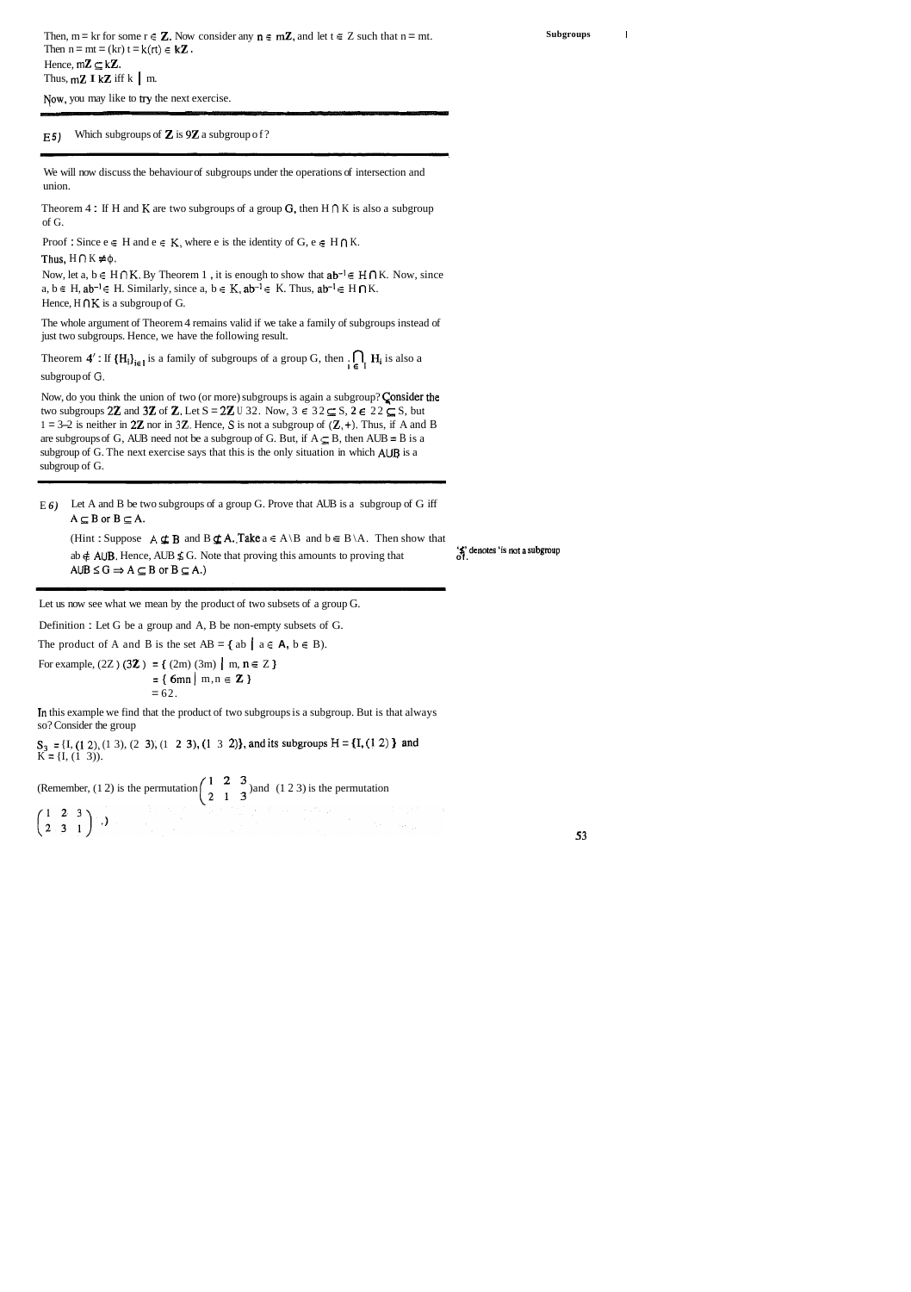Yow, you may like to **try** the next exercise.

Theorem 4 : If H and K are two subgroups of a group G, then  $H \cap K$  is also a subgroup of G.

Proof : Since  $e \in H$  and  $e \in K$ , where e is the identity of  $G$ ,  $e \in H \cap K$ .

Thus,  $H \cap K \neq \phi$ .

Now, let a,  $b \in H \cap K$ . By Theorem 1, it is enough to show that  $ab^{-1} \in H \cap K$ . Now, since a,  $b \in H$ ,  $ab^{-1} \in H$ . Similarly, since a,  $b \in K$ ,  $ab^{-1} \in K$ . Thus,  $ab^{-1} \in H \cap K$ . Hence,  $H \cap K$  is a subgroup of G.

#### <sup>E</sup>**5)** Which subgroups of 2 is **9Z** a subgroup of?

We will now discuss the behaviour of subgroups under the operations of intersection and union.

Theorem **4' :** If  $\{H_i\}_{i \in I}$  is a family of subgroups of a group G, then  $\iiint_I H_i$  is also a subgroup of *G.* 

Now, do you think the union of two (or more) subgroups is again a subgroup? Consider the two subgroups 2**Z** and 3**Z** of **Z**. Let  $S = 2Z \cup 32$ . Now,  $3 \in 32 \subseteq S$ ,  $2 \in 22 \subseteq S$ , but 1 = 3-2 is neither in 2**Z** nor in 3**Z**. Hence, **S** is not a subgroup of  $(Z, +)$ . Thus, if A and B are subgroups of G, AUB need not be a subgroup of G. But, if  $A \subseteq B$ , then AUB = B is a subgroup of G. The next exercise says that this is the only situation in which AUB is a subgroup of G.

E *6)* Let A and B be two subgroups of a group G. Prove that AUB is a subgroup of G iff  $A \subseteq B$  or  $B \subseteq A$ .

The whole argument of Theorem 4 remains valid if we take a family of subgroups instead of just two subgroups. Hence, we have the following result.

(Hint : Suppose **A**  $\subseteq$  **B** and **B**  $\subseteq$  **A.**.Take  $a \in A \setminus B$  and  $b \in B \setminus A$ . Then show that  $\leq$  **f** denotes 'is not a subgroup about **All IB**. Hence, AIIB  $\leq$  G. Note that proving this amounts to proving that  $\leq$  ab  $\neq$  AUB. Hence, AUB  $\leq$  G. Note that proving this amounts to proving that  $A \cup B \leq G \Rightarrow A \subseteq B$  or  $B \subseteq A$ .) -- - - -

Then,  $m = kr$  for some  $r \in \mathbb{Z}$ . Now consider any  $n \in m\mathbb{Z}$ , and let  $t \in \mathbb{Z}$  such that  $n = mt$ . Then  $n = mt = (kr) t = k(rt) \in k\mathbb{Z}$ . Hence,  $mZ \subseteq kZ$ . Thus,  $mZ \mathbf{I} kZ$  iff k | m.

Let us now see what we mean by the product of two subsets of a group G.

Definition : Let G be a group and A, B be non-empty subsets of G.

The product of A and B is the set  $AB = \{ ab \mid a \in A, b \in B \}$ .

For example,  $(2Z)$  (3**Z**) = {  $(2m)$  (3m) | m, n  $\in$  Z }  $=$  { 6mn | m, n  $\in \mathbb{Z}$  }  $= 62.$ 

In this example we find that the product of two subgroups is a subgroup. But is that always so? Consider the group

 $S_3 = \{I, (1, 2), (1, 3), (2, 3), (1, 2, 3), (1, 3, 2)\}\$ , and its subgroups  $H = \{I, (1, 2)\}\$  and  $K = \{I, (1, 3)\}.$ 

(Remember, (1 2) is the permutation  $\begin{pmatrix} 1 & 2 & 3 \\ 2 & 1 & 3 \end{pmatrix}$  and (1 2 3) is the permutation <br>(1 2 3)  $\left(\begin{matrix}1&2&3\\2&3&1\end{matrix}\right)$  .)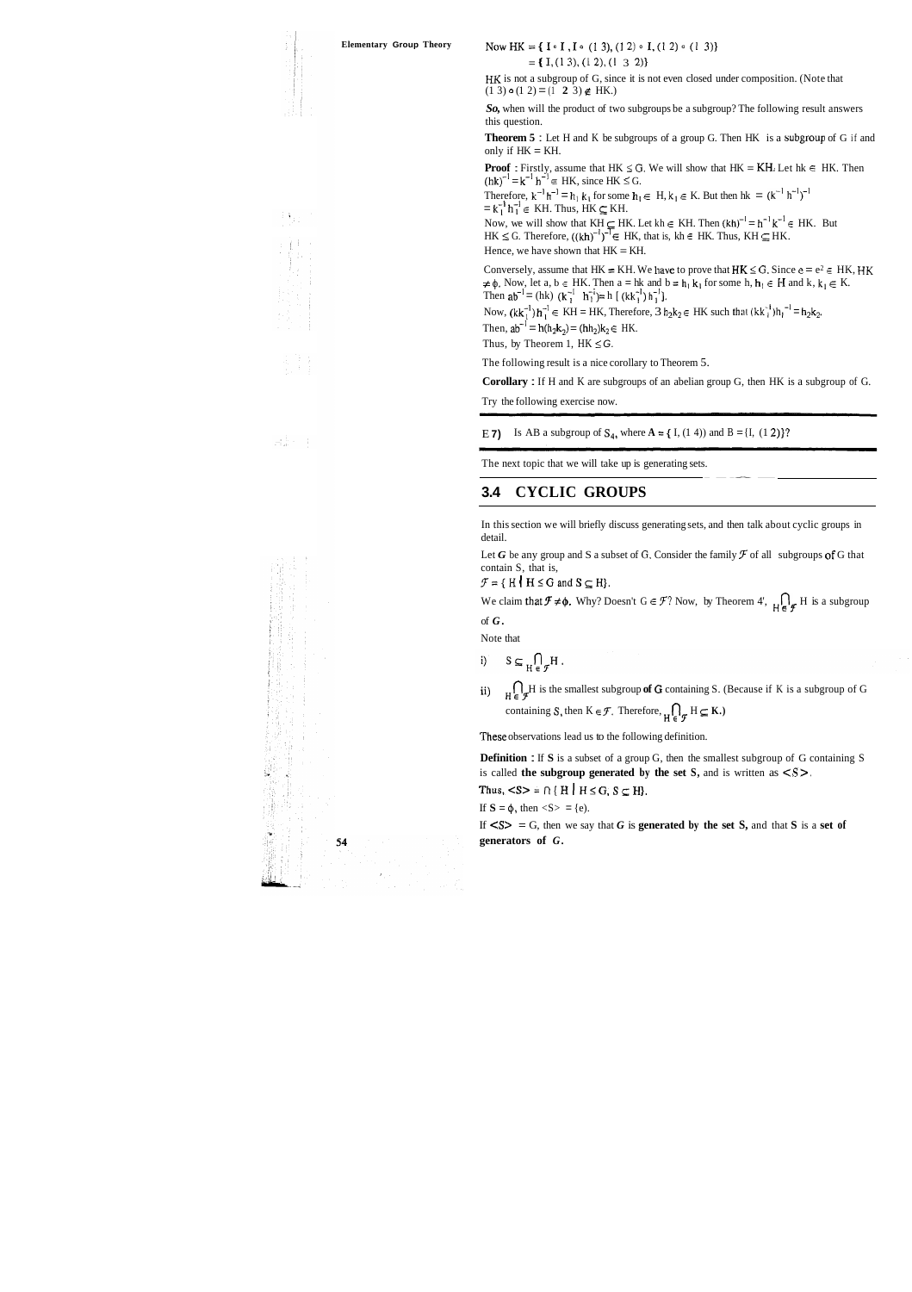**Elementary Group Theory Now HK = {I**  $\circ$  **I**, **I**  $\circ$  (1 3), (1 2)  $\circ$  **I**, (1 2)  $\circ$  (1 3)}

 $= \{ I, (1\ 3), (1\ 2), (1\ 3\ 2) \}$ 

HK is not a subgroup of G, since it is not even closed under composition. (Note that  $(1\ 3) \circ (1\ 2) = (\overline{1}\ 2\ 3) \notin HK$ .)

*So,* when will the product of two subgroups be a subgroup? The following result answers this question.

**Theorem 5** : Let H and K be subgroups of a group G. Then HK is a subgroup of G if and only if  $HK = KH$ .

**Proof** : Firstly, assume that HK  $\leq$  G. We will show that HK = KH. Let hk  $\in$  HK. Then  $(hk)^{-1} = k^{-1} h^{-1} \in HK$ , since HK  $\le G$ .

Therefore,  $k^{-1} h^{-1} = h_1 k_1$  for some  $h_1 \in H$ ,  $k_1 \in K$ . But then  $hk = (k^{-1} h^{-1})^{-1}$  $=$   $k_1^{-1}$   $h_1^{-1}$   $\in$  KH. Thus, HK  $\subseteq$  KH.

Now, we will show that  $K_H \subseteq HK$ . Let kh  $\in KH$ . Then  $(kh)^{-1} = h^{-1}k^{-1} \in HK$ . But  $HK \le G$ . Therefore,  $((kh)^{-1})^{-T} \in HK$ , that is,  $kh \in HK$ . Thus,  $KH \subseteq HK$ . Hence, we have shown that  $HK = KH$ .

Conversely, assume that HK = KH. We have to prove that  $HK \le G$ . Since  $e = e^2 \in HK$ , HK  $\neq \phi$ . Now, let a, b  $\in$  HK. Then a = hk and b = h<sub>1</sub> k<sub>1</sub> for some h, h<sub>1</sub>  $\in$  H and k, k<sub>1</sub>  $\in$  K. Then  $ab^{-1} = (hk)$   $(k_1^{-1} h_1^{-1}) = h [ (kk_1^{-1}) h_1^{-1}].$ 

Now,  $(\mathbf{k} \mathbf{k}_1^{-1}) \mathbf{h}_1^{-1} \in \mathbf{KH} = \mathbf{HK}$ , Therefore,  $3 \mathbf{h}_2 \mathbf{k}_2 \in \mathbf{HK}$  such that  $(\mathbf{k} \mathbf{k}_1^{-1}) \mathbf{h}_1^{-1} = \mathbf{h}_2 \mathbf{k}_2$ . Then,  $ab^{-1} = h(h_2k_2) = (hh_2)k_2 \in HK$ .

Thus, by Theorem 1,  $HK \leq G$ .

Let *G* be any group and S a subset of G. Consider the family  $\mathcal F$  of all subgroups of G that contain S, that is,

 $\mathcal{F} = \{ H \mid H \leq G \text{ and } S \subseteq H \}.$ 

We claim that  $\mathcal{F} \neq \phi$ . Why? Doesn't G  $\in \mathcal{F}$ ? Now, by Theorem 4',  $\iint_{H} \mathcal{F} H$  is a subgroup of *G.* 

**Definition** : If **S** is a subset of a group G, then the smallest subgroup of G containing S is called **the subgroup generated by the set S,** and is written as  $\langle S \rangle$ .

Thus,  $\langle S \rangle = \bigcap \{ H \mid H \leq G, S \subseteq H \}.$ 

If  $S = \phi$ , then  $\langle S \rangle = \{e\}$ .

If  $\leq S$  = G, then we say that G is **generated by the set S,** and that S is a set of **generators of** *G.* 





The following result is a nice corollary to Theorem 5.

**Corollary** : If H and K are subgroups of an abelian group G, then HK is a subgroup of G.

Try the following exercise now.

E **7**) Is AB a subgroup of  $S_4$ , where  $A = \{ I, (1, 4) \}$  and  $B = \{ I, (1, 2) \}$ ?

The next topic that we will take up is generating sets.

## **3.4 CYCLIC GROUPS**

In this section we will briefly discuss generating sets, and then talk about cyclic groups in detail.

Note that

 $S \subseteq \bigcap_{H \subset \sigma} H$ .  $\mathbf{i}$ 

ii)  $\iint_{H \in \mathcal{F}} H$  is the smallest subgroup of **G** containing S. (Because if K is a subgroup of G containing S, then  $K \in \mathcal{F}$ . Therefore,  $\bigcap_{H \in \mathcal{F}} H \subseteq K$ .)

These observations lead us to the following definition.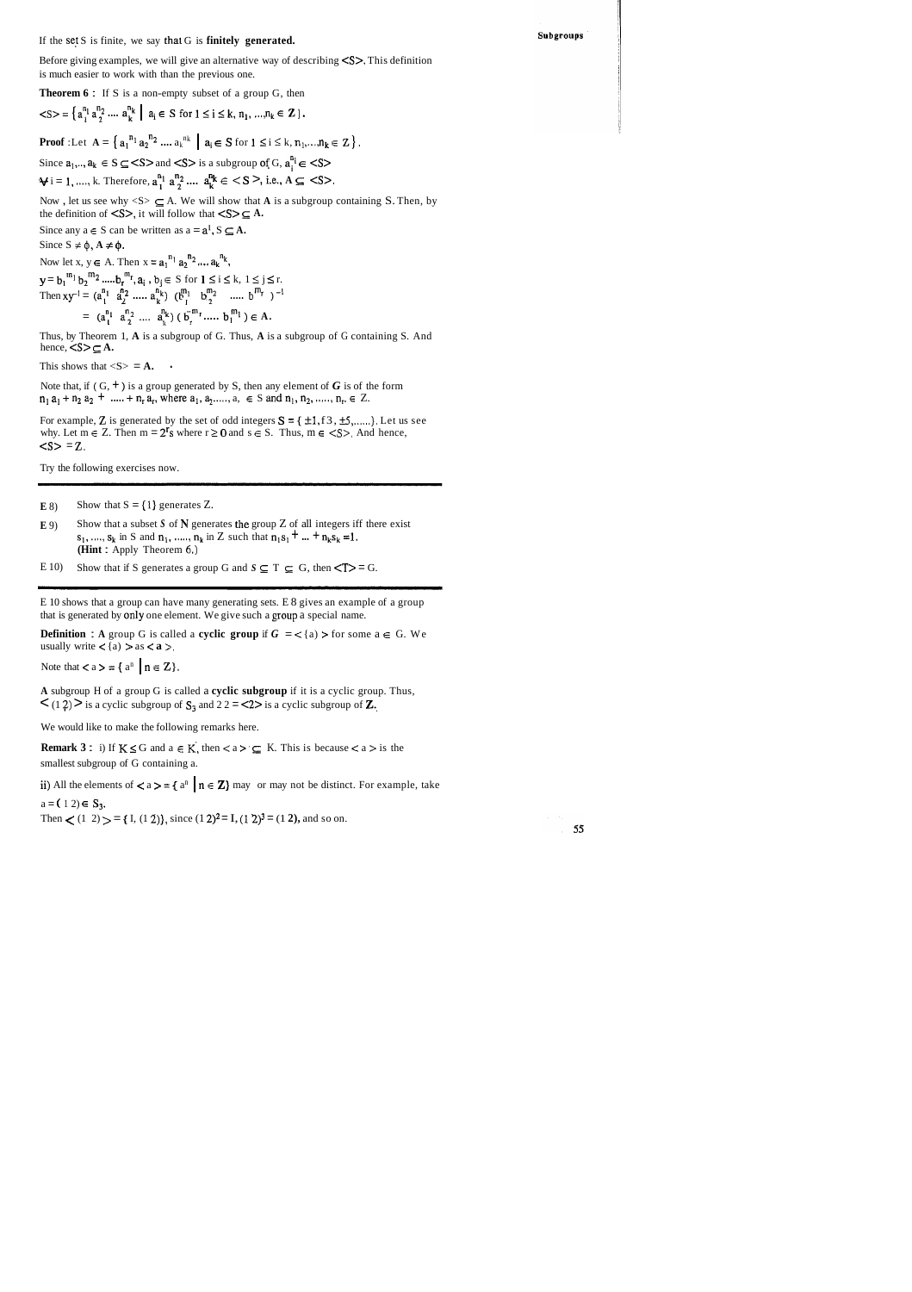#### If the set S is finite, we say that G is finitely generated.

Before giving examples, we will give an alternative way of describing <S>. This definition is much easier to work with than the previous one.

**Theorem 6:** If S is a non-empty subset of a group G, then

$$
\langle S \rangle = \left\{ a_{i}^{n_{1}} a_{2}^{n_{2}} \dots a_{k}^{n_{k}} \mid a_{i} \in S \text{ for } 1 \leq i \leq k, n_{1}, \dots, n_{k} \in \mathbb{Z} \right\}.
$$

**Proof** :Let  $A = \{a_1^{n_1} a_2^{n_2} \dots a_k^{n_k} \mid a_i \in S \text{ for } 1 \le i \le k, n_1, ..., n_k \in Z\}$ .

Since  $a_1, \ldots, a_k \in S \subseteq \langle S \rangle$  and  $\langle S \rangle$  is a subgroup of G,  $a_j^{n_i} \in \langle S \rangle$ 

 $\forall i = 1, ..., k.$  Therefore,  $a_1^{n_1} a_2^{n_2} ... a_k^{n_k} \in \langle S \rangle$ , i.e.,  $A \subseteq \langle S \rangle$ .

Now, let us see why  $\langle S \rangle \subseteq A$ . We will show that A is a subgroup containing S. Then, by the definition of  $\langle S \rangle$ , it will follow that  $\langle S \rangle \subseteq A$ .

Since any  $a \in S$  can be written as  $a = a^1$ ,  $S \subseteq A$ . Since  $S \neq \phi$ ,  $A \neq \phi$ . Now let x,  $y\in$  A. Then  $x=a_1^{\;n_1}\,a_2^{\;n_2}\,\ldots\,a_k^{\;n_k},$ 

 $y = b_1^{m_1} b_2^{m_2} \dots b_r^{m_r}$ ,  $a_i, b_j \in S$  for  $1 \le i \le k, 1 \le j \le r$ .<br>Then  $xy^{-1} = (a_1^{n_1} a_2^{n_2} \dots a_k^{n_k}) (b_1^{m_1} b_2^{m_2} \dots b_m^{m_r})^{-1}$ =  $(a_1^{n_1} a_2^{n_2} \dots a_k^{n_k}) (\overline{b}_r^{m_r} \dots b_1^{m_1}) \in A.$ 

Thus, by Theorem 1, A is a subgroup of G. Thus, A is a subgroup of G containing S. And hence,  $\leq S \geq A$ .

This shows that  $\langle S \rangle = A$ .

Note that, if  $(G, +)$  is a group generated by S, then any element of G is of the form  $n_1$  a<sub>1</sub> + n<sub>2</sub> a<sub>2</sub> + ..... + n<sub>r</sub> a<sub>r</sub>, where a<sub>1</sub>, a<sub>2</sub>....., a,  $\in$  S and n<sub>1</sub>, n<sub>2</sub>, ....., n<sub>r</sub>,  $\in$  Z.

For example, Z is generated by the set of odd integers  $S = \{ \pm 1, f3, \pm 5, \dots \}$ . Let us see why. Let  $m \in Z$ . Then  $m = 2^r s$  where  $r \ge 0$  and  $s \in S$ . Thus,  $m \in \langle S \rangle$ . And hence,  $< s > = Z$ .

Try the following exercises now.

Show that  $S = \{1\}$  generates Z.  $E(8)$ 

- Show that a subset  $S$  of  $N$  generates the group  $Z$  of all integers iff there exist  $E(9)$  $s_1, ..., s_k$  in S and  $n_1, ..., n_k$  in Z such that  $n_1s_1 + ... + n_ks_k = 1$ . (Hint: Apply Theorem 6.)
- Show that if S generates a group G and  $S \subseteq T \subseteq G$ , then  $\langle T \rangle = G$ .  $E(10)$

E 10 shows that a group can have many generating sets. E 8 gives an example of a group that is generated by only one element. We give such a group a special name.

**Definition**: A group G is called a **cyclic group** if  $G = \langle a \rangle$  > for some  $a \in G$ . We usually write  $\langle a \rangle$  > as  $\langle a \rangle$ .

Note that  $\langle a \rangle = \{ a^n \mid n \in \mathbb{Z} \}.$ 

A subgroup H of a group G is called a cyclic subgroup if it is a cyclic group. Thus,  $\langle (1\,2) \rangle$  is a cyclic subgroup of  $S_3$  and  $2\,2 = \langle 2 \rangle$  is a cyclic subgroup of **Z**.

We would like to make the following remarks here.

**Remark 3**: i) If  $K \le G$  and  $a \in K$ , then  $\lt a > \subseteq K$ . This is because  $\lt a >$  is the smallest subgroup of G containing a.

ii) All the elements of  $\langle a \rangle = \{ a^n \mid n \in \mathbb{Z} \}$  may or may not be distinct. For example, take  $a = (12) \in S_3$ .

Then  $\lt$  (1 2)  $\gt$  = { I, (1 2)}, since (1 2)<sup>2</sup> = I, (1 2)<sup>3</sup> = (1 2), and so on.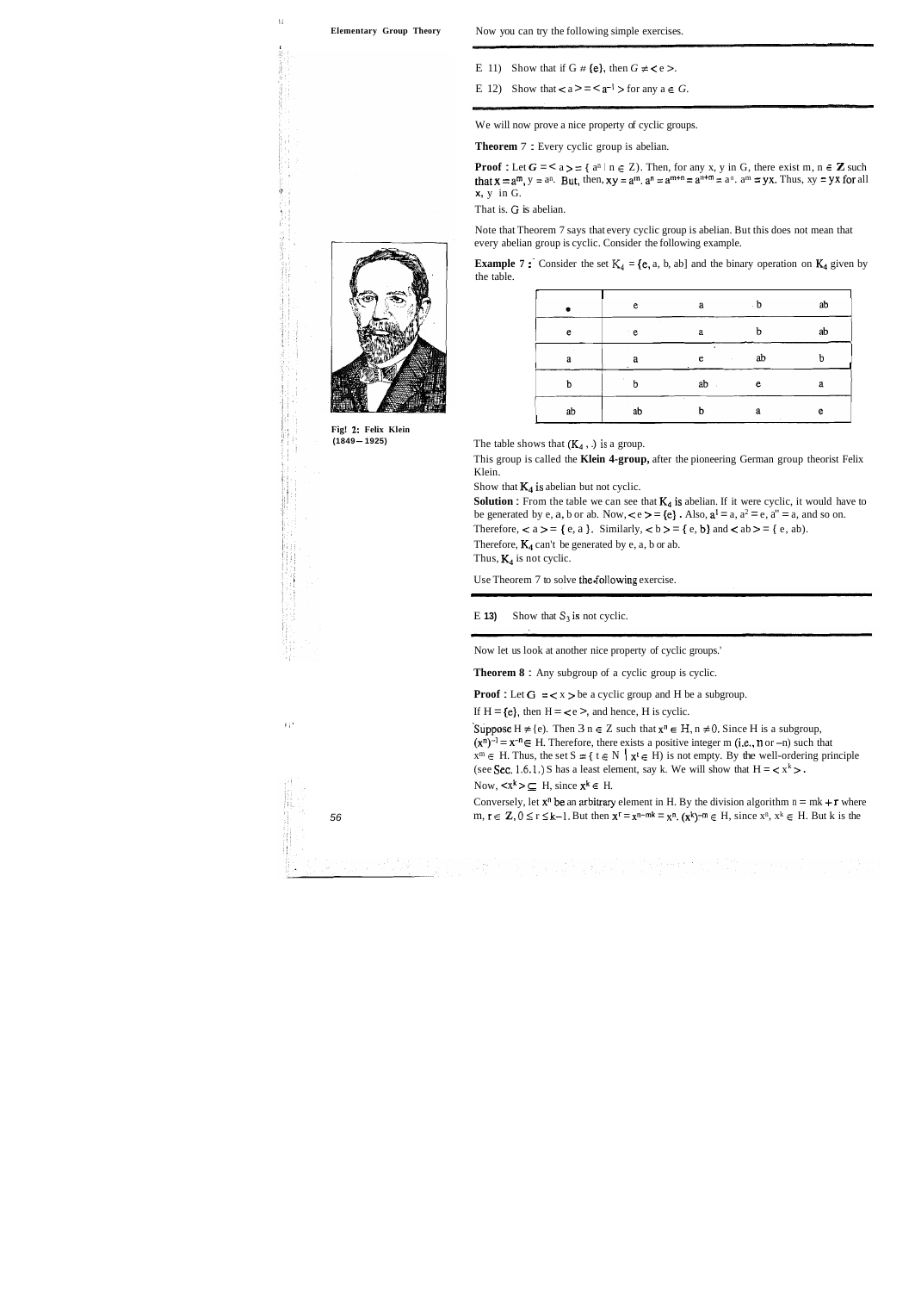$\mathbb{N}$ 

I

**Fig! 2: Felix Klein (1849-1925)** 

- E 11) Show that if G  $#$  (e), then  $G \neq \leq e$  >.
- E 12) Show that  $\lt a \gt \lt a^{-1}$  > for any  $a \in G$ .

We will now prove a nice property of cyclic groups.

**Theorem 7:** Every cyclic group is abelian.

**Proof**: Let  $G = \langle a \rangle = \{a^n \mid n \in \mathbb{Z}\}$ . Then, for any x, y in G, there exist m,  $n \in \mathbb{Z}$  such that  $x = a^m$ ,  $y = a^n$ . But, then,  $xy = a^m$ .  $a^n = a^{m+n} = a^n$ .  $a^m = yx$ . Thus,  $xy = yx$  for all **x,** y in G.

That is. *G* is abelian.

Note that Theorem 7 says that every cyclic group is abelian. But this does not mean that every abelian group is cyclic. Consider the following example.

| <b>Example 7</b> : Consider the set $K_4 = \{e, a, b, ab\}$ and the binary operation on $K_4$ given by |  |  |  |  |  |
|--------------------------------------------------------------------------------------------------------|--|--|--|--|--|
| the table.                                                                                             |  |  |  |  |  |

|    | e      | <b>a</b>     | $\mathbf{b}$ | ab |
|----|--------|--------------|--------------|----|
| e  | ∴e     | a            | h            | ab |
| a  | a<br>٠ | e            | ab           | b  |
| þ  | b      | ab<br>×      | e            | a  |
| ab | ab     | $\cdot$<br>h | a            | e  |

The table shows that (K4 , .) **is** a group.

This group is called the **Klein 4-group,** after the pioneering German group theorist Felix Klein.

Show that  $K_4$  is abelian but not cyclic.

**Solution :** From the table we can see that  $K_4$  is abelian. If it were cyclic, it would have to be generated by e, a, b or ab. Now,  $\lt e \gt = \{e\}$ . Also,  $a^1 = a$ ,  $a^2 = e$ ,  $a'' = a$ , and so on.

Therefore,  $\langle a \rangle = \{e, a\}$ . Similarly,  $\langle b \rangle = \{e, b\}$  and  $\langle ab \rangle = \{e, ab\}$ . Therefore,  $K_4$  can't be generated by e, a, b or ab.

Thus,  $K_4$  is not cyclic.

Use Theorem 7 to solve the.following exercise.

E **13)** Show that  $S_3$  is not cyclic.

Now let us look at another nice property of cyclic groups.'

**Theorem 8** : Any subgroup of a cyclic group is cyclic.

**Proof :** Let  $G = \langle x \rangle$  be a cyclic group and H be a subgroup.

If  $H = \{e\}$ , then  $H = \{e\}$ , and hence, H is cyclic.

Suppose  $H \neq \{e\}$ . Then  $3 n \in \mathbb{Z}$  such that  $x^n \in H$ ,  $n \neq 0$ . Since H is a subgroup,  $(x^n)^{-1} = x^{-n} \in H$ . Therefore, there exists a positive integer m (i.e., n or -n) such that  $x^m \in H$ . Thus, the set  $S = \{ t \in N \mid x^t \in H \}$  is not empty. By the well-ordering principle (see Sec. 1.6.1.) S has a least element, say k. We will show that  $H = \langle x^k \rangle$ . Now,  $\langle x^k \rangle \subseteq H$ , since  $x^k \in H$ .

Conversely, let  $x^n$  be an arbitrary element in H. By the division algorithm  $n = mk + r$  where 56 m,  $r \in Z$ ,  $0 \le r \le k-1$ . But then  $x^r = x^{n-mk} = x^n$ .  $(x^k)^{-m} \in H$ , since  $x^n$ ,  $x^k \in H$ . But k is the

a sa mga salawang kalawang ng Kabupatèn Kalèndher<br>Kabupatèn Kabupatèn Kabupatèn Kabupatèn Kabupatèn



 $\frac{1}{d-1}\left(\frac{1}{2}\right)^{d-1}\left(\frac{1}{d}\right)^{d}.$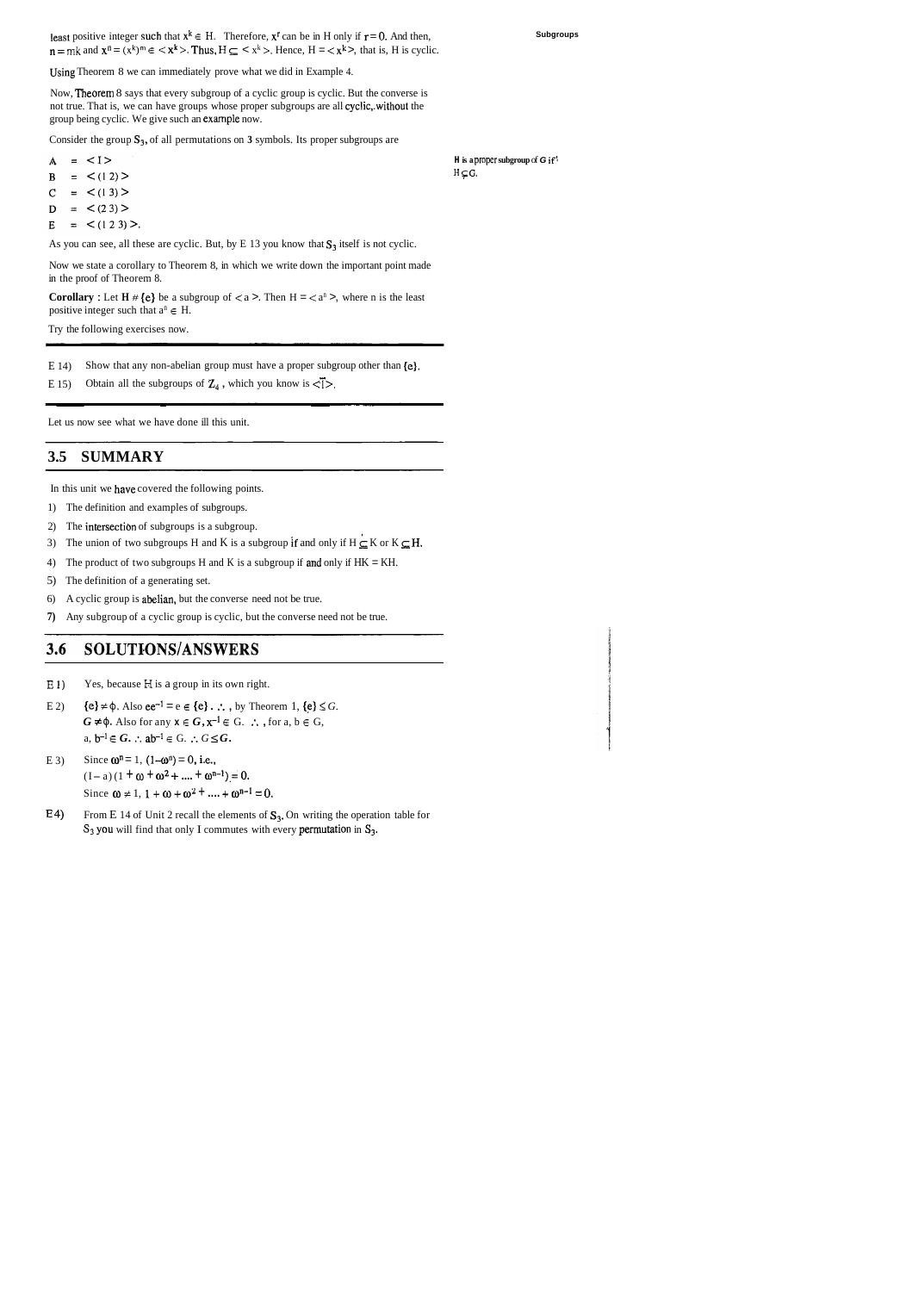Using Theorem 8 we can immediately prove what we did in Example 4.

Now, Theorem 8 says that every subgroup of a cyclic group is cyclic. But the converse is not true. That is, we can have groups whose proper subgroups are all cyclic,.without the group being cyclic. We give such an example now.

Consider the group S<sub>3</sub>, of all permutations on 3 symbols. Its proper subgroups are

- $= <1>$  $\mathbf{A}$
- $=$   $\lt(12)$  $\mathbf{B}$
- $\overline{C}$  $=$  < (1 3) >
- $=$  < (2 3) >  $\mathbf D$
- $=$  < (1 2 3) >.  $\mathbf E$

As you can see, all these are cyclic. But, by E 13 you know that  $S_3$  itself is not cyclic.

Now we state a corollary to Theorem 8, in which we write down the important point made in the proof of Theorem 8.

**Corollary :** Let  $H \# \{e\}$  be a subgroup of  $\lt a$  >. Then  $H = \lt a^n$  >, where n is the least positive integer such that  $a^n \in H$ .

- **E** I) Yes, because **H** is a group in its own right.
- E 2)  $\{e\} \neq \emptyset$ . Also  $ee^{-1} = e \in \{e\}$ .  $\therefore$ , by Theorem 1,  $\{e\} \leq G$ .  $G \neq \phi$ . Also for any  $x \in G$ ,  $x^{-1} \in G$ .  $\therefore$  for a,  $b \in G$ , a,  $b^{-1} \in G$ .  $\therefore$   $a b^{-1} \in G$ .  $\therefore G \leq G$ .
- E 3) Since  $\omega^n = 1$ ,  $(1-\omega^n) = 0$ , i.e.,  $(I-a) (1 + \omega + \omega^2 + \dots + \omega^{n-1}) = 0.$ Since  $\omega \neq 1, 1 + \omega + \omega^2 + ... + \omega^{n-1} = 0$ .
- E 4) From E 14 of Unit 2 recall the elements of  $S_3$ . On writing the operation table for S<sub>3</sub> you will find that only I commutes with every permutation in S<sub>3</sub>.

Try the following exercises now.

E 14) Show that any non-abelian group must have a proper subgroup other than  ${e}$ . In-abelian group must have a proper subgroup other<br>ogroups of  $\mathbb{Z}_4$ , which you know is  $\leq 1$ .

E 15) Obtain all the subgroups of  $\mathbb{Z}_4$ , which you know is  $\leq 1$ .

**H is a proper subgroup** of **G** if!  $H \subsetneq G$ .

Let us now see what we have done ill this unit.

### **3.5 SUMMARY**

In this unit we have covered the following points.

- 1) The definition and examples of subgroups.
- 2) The intersectibn of subgroups is a subgroup.
- 3) The union of two subgroups H and K is a subgroup if and only if  $H \subseteq K$  or  $K \subseteq H$ .
- 4) The product of two subgroups H and K is a subgroup if and only if  $HK = KH$ .
- 5) The definition of a generating set.
- 6) A cyclic group is abelian, but the converse need not be true.
- **7)** Any subgroup of a cyclic group is cyclic, but the converse need not be true.

#### SOLUTIONS/ANSWERS  $3.6$

least positive integer such that  $x^k \in H$ . Therefore,  $x^r$  can be in H only if  $r = 0$ . And then,  $n = mk$  and  $x^n = (x^k)^m \in \langle x^k \rangle$ . Thus,  $H \subseteq \langle x^k \rangle$ . Hence,  $H = \langle x^k \rangle$ , that is, H is cyclic. **Subgroups**